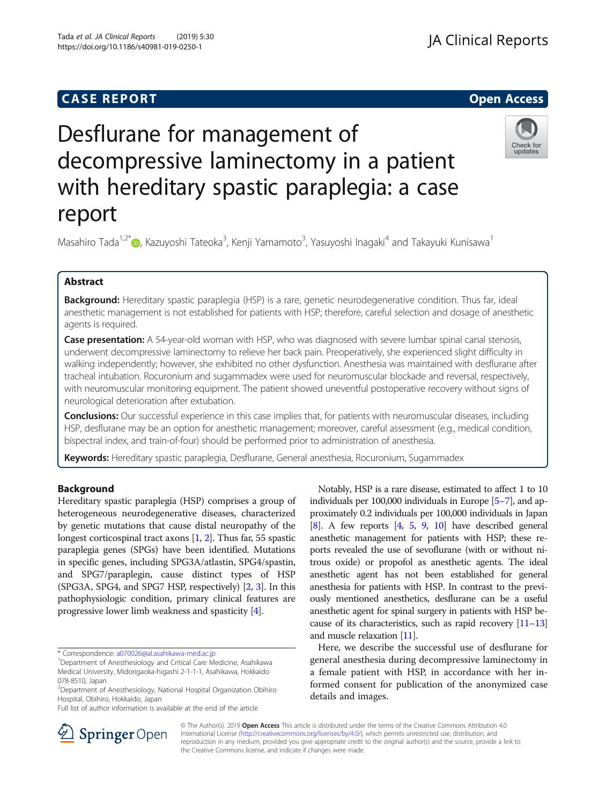## **CASE REPORT And SERVICE SERVICE SERVICE SERVICE SERVICE SERVICE SERVICE SERVICE SERVICE SERVICE SERVICE SERVICE**

## **JA Clinical Reports**

Check for updates

# Desflurane for management of decompressive laminectomy in a patient with hereditary spastic paraplegia: a case report

Masahiro Tada<sup>1[,](http://orcid.org/0000-0002-0598-8420)2\*</sup>�, Kazuyoshi Tateoka<sup>3</sup>, Kenji Yamamoto<sup>3</sup>, Yasuyoshi Inagaki<sup>4</sup> and Takayuki Kunisawa<sup>1</sup>

### Abstract

Background: Hereditary spastic paraplegia (HSP) is a rare, genetic neurodegenerative condition. Thus far, ideal anesthetic management is not established for patients with HSP; therefore, careful selection and dosage of anesthetic agents is required.

**Case presentation:** A 54-year-old woman with HSP, who was diagnosed with severe lumbar spinal canal stenosis, underwent decompressive laminectomy to relieve her back pain. Preoperatively, she experienced slight difficulty in walking independently; however, she exhibited no other dysfunction. Anesthesia was maintained with desflurane after tracheal intubation. Rocuronium and sugammadex were used for neuromuscular blockade and reversal, respectively, with neuromuscular monitoring equipment. The patient showed uneventful postoperative recovery without signs of neurological deterioration after extubation.

Conclusions: Our successful experience in this case implies that, for patients with neuromuscular diseases, including HSP, desflurane may be an option for anesthetic management; moreover, careful assessment (e.g., medical condition, bispectral index, and train-of-four) should be performed prior to administration of anesthesia.

Keywords: Hereditary spastic paraplegia, Desflurane, General anesthesia, Rocuronium, Sugammadex

#### Background

Hereditary spastic paraplegia (HSP) comprises a group of heterogeneous neurodegenerative diseases, characterized by genetic mutations that cause distal neuropathy of the longest corticospinal tract axons [[1](#page-2-0), [2\]](#page-2-0). Thus far, 55 spastic paraplegia genes (SPGs) have been identified. Mutations in specific genes, including SPG3A/atlastin, SPG4/spastin, and SPG7/paraplegin, cause distinct types of HSP (SPG3A, SPG4, and SPG7 HSP, respectively) [[2,](#page-2-0) [3](#page-2-0)]. In this pathophysiologic condition, primary clinical features are progressive lower limb weakness and spasticity [\[4](#page-3-0)].

Full list of author information is available at the end of the article

Notably, HSP is a rare disease, estimated to affect 1 to 10 individuals per 100,000 individuals in Europe [\[5](#page-3-0)–[7](#page-3-0)], and approximately 0.2 individuals per 100,000 individuals in Japan  $[8]$  $[8]$  $[8]$ . A few reports  $[4, 5, 9, 10]$  $[4, 5, 9, 10]$  $[4, 5, 9, 10]$  $[4, 5, 9, 10]$  $[4, 5, 9, 10]$  $[4, 5, 9, 10]$  $[4, 5, 9, 10]$  $[4, 5, 9, 10]$  have described general anesthetic management for patients with HSP; these reports revealed the use of sevoflurane (with or without nitrous oxide) or propofol as anesthetic agents. The ideal anesthetic agent has not been established for general anesthesia for patients with HSP. In contrast to the previously mentioned anesthetics, desflurane can be a useful anesthetic agent for spinal surgery in patients with HSP because of its characteristics, such as rapid recovery  $[11–13]$  $[11–13]$  $[11–13]$  $[11–13]$  $[11–13]$ and muscle relaxation [\[11\]](#page-3-0).

Here, we describe the successful use of desflurane for general anesthesia during decompressive laminectomy in a female patient with HSP, in accordance with her informed consent for publication of the anonymized case details and images.



© The Author(s). 2019 Open Access This article is distributed under the terms of the Creative Commons Attribution 4.0 International License ([http://creativecommons.org/licenses/by/4.0/\)](http://creativecommons.org/licenses/by/4.0/), which permits unrestricted use, distribution, and reproduction in any medium, provided you give appropriate credit to the original author(s) and the source, provide a link to the Creative Commons license, and indicate if changes were made.

<sup>\*</sup> Correspondence: [a070026@al.asahikawa-med.ac.jp](mailto:a070026@al.asahikawa-med.ac.jp) <sup>1</sup>

<sup>&</sup>lt;sup>1</sup>Department of Anesthesiology and Critical Care Medicine, Asahikawa Medical University, Midorigaoka-higashi 2-1-1-1, Asahikawa, Hokkaido 078-8510, Japan

<sup>2</sup> Department of Anesthesiology, National Hospital Organization Obihiro Hospital, Obihiro, Hokkaido, Japan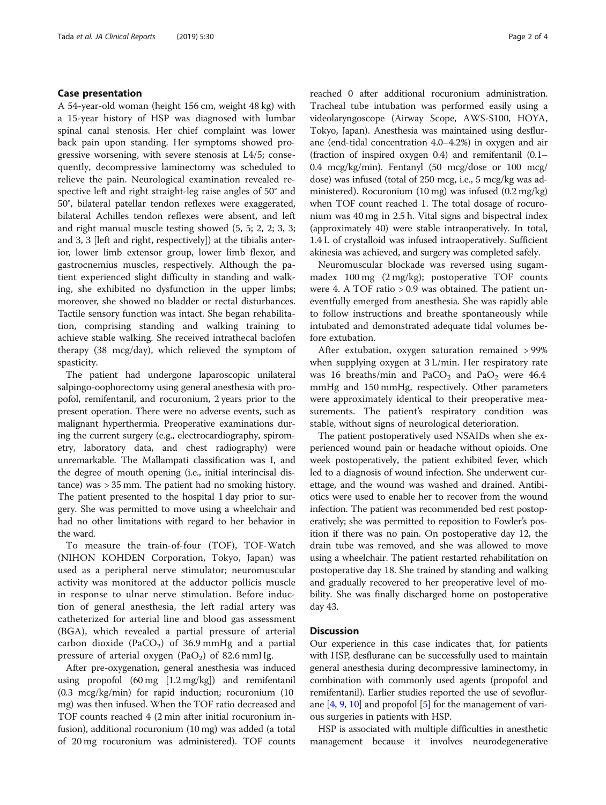#### Case presentation

A 54-year-old woman (height 156 cm, weight 48 kg) with a 15-year history of HSP was diagnosed with lumbar spinal canal stenosis. Her chief complaint was lower back pain upon standing. Her symptoms showed progressive worsening, with severe stenosis at L4/5; consequently, decompressive laminectomy was scheduled to relieve the pain. Neurological examination revealed respective left and right straight-leg raise angles of 50° and 50°, bilateral patellar tendon reflexes were exaggerated, bilateral Achilles tendon reflexes were absent, and left and right manual muscle testing showed (5, 5; 2, 2; 3, 3; and 3, 3 [left and right, respectively]) at the tibialis anterior, lower limb extensor group, lower limb flexor, and gastrocnemius muscles, respectively. Although the patient experienced slight difficulty in standing and walking, she exhibited no dysfunction in the upper limbs; moreover, she showed no bladder or rectal disturbances. Tactile sensory function was intact. She began rehabilitation, comprising standing and walking training to achieve stable walking. She received intrathecal baclofen therapy (38 mcg/day), which relieved the symptom of spasticity.

The patient had undergone laparoscopic unilateral salpingo-oophorectomy using general anesthesia with propofol, remifentanil, and rocuronium, 2 years prior to the present operation. There were no adverse events, such as malignant hyperthermia. Preoperative examinations during the current surgery (e.g., electrocardiography, spirometry, laboratory data, and chest radiography) were unremarkable. The Mallampati classification was I, and the degree of mouth opening (i.e., initial interincisal distance) was > 35 mm. The patient had no smoking history. The patient presented to the hospital 1 day prior to surgery. She was permitted to move using a wheelchair and had no other limitations with regard to her behavior in the ward.

To measure the train-of-four (TOF), TOF-Watch (NIHON KOHDEN Corporation, Tokyo, Japan) was used as a peripheral nerve stimulator; neuromuscular activity was monitored at the adductor pollicis muscle in response to ulnar nerve stimulation. Before induction of general anesthesia, the left radial artery was catheterized for arterial line and blood gas assessment (BGA), which revealed a partial pressure of arterial carbon dioxide (PaCO<sub>2</sub>) of 36.9 mmHg and a partial pressure of arterial oxygen (PaO<sub>2</sub>) of 82.6 mmHg.

After pre-oxygenation, general anesthesia was induced using propofol (60 mg [1.2 mg/kg]) and remifentanil (0.3 mcg/kg/min) for rapid induction; rocuronium (10 mg) was then infused. When the TOF ratio decreased and TOF counts reached 4 (2 min after initial rocuronium infusion), additional rocuronium (10 mg) was added (a total of 20 mg rocuronium was administered). TOF counts reached 0 after additional rocuronium administration. Tracheal tube intubation was performed easily using a videolaryngoscope (Airway Scope, AWS-S100, HOYA, Tokyo, Japan). Anesthesia was maintained using desflurane (end-tidal concentration 4.0–4.2%) in oxygen and air (fraction of inspired oxygen 0.4) and remifentanil (0.1– 0.4 mcg/kg/min). Fentanyl (50 mcg/dose or 100 mcg/ dose) was infused (total of 250 mcg, i.e., 5 mcg/kg was administered). Rocuronium (10 mg) was infused (0.2 mg/kg) when TOF count reached 1. The total dosage of rocuronium was 40 mg in 2.5 h. Vital signs and bispectral index (approximately 40) were stable intraoperatively. In total, 1.4 L of crystalloid was infused intraoperatively. Sufficient akinesia was achieved, and surgery was completed safely.

Neuromuscular blockade was reversed using sugammadex 100 mg (2 mg/kg); postoperative TOF counts were 4. A TOF ratio > 0.9 was obtained. The patient uneventfully emerged from anesthesia. She was rapidly able to follow instructions and breathe spontaneously while intubated and demonstrated adequate tidal volumes before extubation.

After extubation, oxygen saturation remained > 99% when supplying oxygen at 3 L/min. Her respiratory rate was 16 breaths/min and  $PaCO<sub>2</sub>$  and  $PaO<sub>2</sub>$  were 46.4 mmHg and 150 mmHg, respectively. Other parameters were approximately identical to their preoperative measurements. The patient's respiratory condition was stable, without signs of neurological deterioration.

The patient postoperatively used NSAIDs when she experienced wound pain or headache without opioids. One week postoperatively, the patient exhibited fever, which led to a diagnosis of wound infection. She underwent curettage, and the wound was washed and drained. Antibiotics were used to enable her to recover from the wound infection. The patient was recommended bed rest postoperatively; she was permitted to reposition to Fowler's position if there was no pain. On postoperative day 12, the drain tube was removed, and she was allowed to move using a wheelchair. The patient restarted rehabilitation on postoperative day 18. She trained by standing and walking and gradually recovered to her preoperative level of mobility. She was finally discharged home on postoperative day 43.

#### **Discussion**

Our experience in this case indicates that, for patients with HSP, desflurane can be successfully used to maintain general anesthesia during decompressive laminectomy, in combination with commonly used agents (propofol and remifentanil). Earlier studies reported the use of sevoflurane  $[4, 9, 10]$  $[4, 9, 10]$  $[4, 9, 10]$  $[4, 9, 10]$  $[4, 9, 10]$  and propofol  $[5]$  $[5]$  $[5]$  for the management of various surgeries in patients with HSP.

HSP is associated with multiple difficulties in anesthetic management because it involves neurodegenerative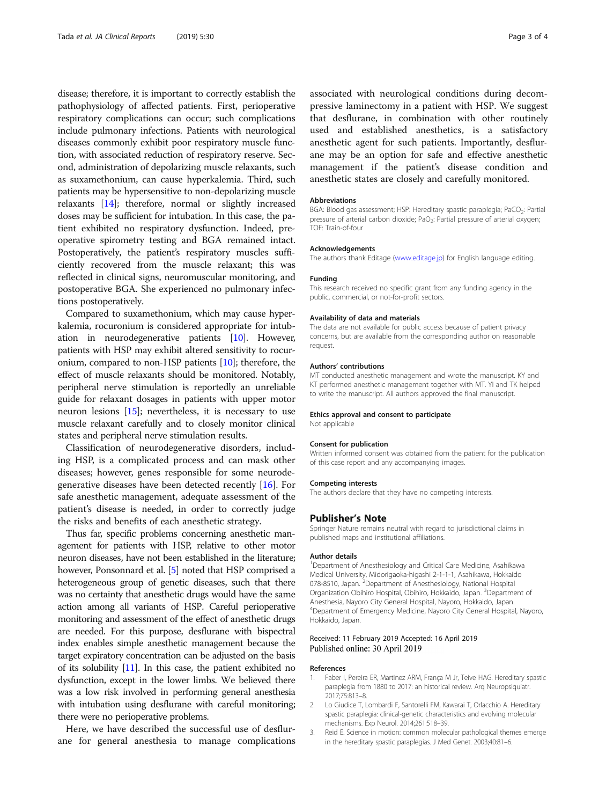<span id="page-2-0"></span>disease; therefore, it is important to correctly establish the pathophysiology of affected patients. First, perioperative respiratory complications can occur; such complications include pulmonary infections. Patients with neurological diseases commonly exhibit poor respiratory muscle function, with associated reduction of respiratory reserve. Second, administration of depolarizing muscle relaxants, such as suxamethonium, can cause hyperkalemia. Third, such patients may be hypersensitive to non-depolarizing muscle relaxants [\[14\]](#page-3-0); therefore, normal or slightly increased doses may be sufficient for intubation. In this case, the patient exhibited no respiratory dysfunction. Indeed, preoperative spirometry testing and BGA remained intact. Postoperatively, the patient's respiratory muscles sufficiently recovered from the muscle relaxant; this was reflected in clinical signs, neuromuscular monitoring, and postoperative BGA. She experienced no pulmonary infections postoperatively.

Compared to suxamethonium, which may cause hyperkalemia, rocuronium is considered appropriate for intubation in neurodegenerative patients [\[10\]](#page-3-0). However, patients with HSP may exhibit altered sensitivity to rocuronium, compared to non-HSP patients [\[10\]](#page-3-0); therefore, the effect of muscle relaxants should be monitored. Notably, peripheral nerve stimulation is reportedly an unreliable guide for relaxant dosages in patients with upper motor neuron lesions [\[15\]](#page-3-0); nevertheless, it is necessary to use muscle relaxant carefully and to closely monitor clinical states and peripheral nerve stimulation results.

Classification of neurodegenerative disorders, including HSP, is a complicated process and can mask other diseases; however, genes responsible for some neurodegenerative diseases have been detected recently [\[16](#page-3-0)]. For safe anesthetic management, adequate assessment of the patient's disease is needed, in order to correctly judge the risks and benefits of each anesthetic strategy.

Thus far, specific problems concerning anesthetic management for patients with HSP, relative to other motor neuron diseases, have not been established in the literature; however, Ponsonnard et al. [\[5](#page-3-0)] noted that HSP comprised a heterogeneous group of genetic diseases, such that there was no certainty that anesthetic drugs would have the same action among all variants of HSP. Careful perioperative monitoring and assessment of the effect of anesthetic drugs are needed. For this purpose, desflurane with bispectral index enables simple anesthetic management because the target expiratory concentration can be adjusted on the basis of its solubility [\[11\]](#page-3-0). In this case, the patient exhibited no dysfunction, except in the lower limbs. We believed there was a low risk involved in performing general anesthesia with intubation using desflurane with careful monitoring; there were no perioperative problems.

Here, we have described the successful use of desflurane for general anesthesia to manage complications associated with neurological conditions during decompressive laminectomy in a patient with HSP. We suggest that desflurane, in combination with other routinely used and established anesthetics, is a satisfactory anesthetic agent for such patients. Importantly, desflurane may be an option for safe and effective anesthetic management if the patient's disease condition and anesthetic states are closely and carefully monitored.

#### Abbreviations

BGA: Blood gas assessment: HSP: Hereditary spastic paraplegia: PaCO<sub>2</sub>: Partial pressure of arterial carbon dioxide; PaO<sub>2</sub>: Partial pressure of arterial oxygen; TOF: Train-of-four

#### Acknowledgements

The authors thank Editage [\(www.editage.jp](http://www.editage.jp)) for English language editing.

#### Funding

This research received no specific grant from any funding agency in the public, commercial, or not-for-profit sectors.

#### Availability of data and materials

The data are not available for public access because of patient privacy concerns, but are available from the corresponding author on reasonable request.

#### Authors' contributions

MT conducted anesthetic management and wrote the manuscript. KY and KT performed anesthetic management together with MT. YI and TK helped to write the manuscript. All authors approved the final manuscript.

#### Ethics approval and consent to participate

Not applicable

#### Consent for publication

Written informed consent was obtained from the patient for the publication of this case report and any accompanying images.

#### Competing interests

The authors declare that they have no competing interests.

#### Publisher's Note

Springer Nature remains neutral with regard to jurisdictional claims in published maps and institutional affiliations.

#### Author details

<sup>1</sup>Department of Anesthesiology and Critical Care Medicine, Asahikawa Medical University, Midorigaoka-higashi 2-1-1-1, Asahikawa, Hokkaido 078-8510, Japan. <sup>2</sup>Department of Anesthesiology, National Hospital Organization Obihiro Hospital, Obihiro, Hokkaido, Japan. <sup>3</sup>Department of Anesthesia, Nayoro City General Hospital, Nayoro, Hokkaido, Japan. 4 Department of Emergency Medicine, Nayoro City General Hospital, Nayoro, Hokkaido, Japan.

#### Received: 11 February 2019 Accepted: 16 April 2019 Published online: 30 April 2019

#### References

- 1. Faber I, Pereira ER, Martinez ARM, França M Jr, Teive HAG. Hereditary spastic paraplegia from 1880 to 2017: an historical review. Arq Neuropsiquiatr. 2017;75:813–8.
- 2. Lo Giudice T, Lombardi F, Santorelli FM, Kawarai T, Orlacchio A. Hereditary spastic paraplegia: clinical-genetic characteristics and evolving molecular mechanisms. Exp Neurol. 2014;261:518–39.
- 3. Reid E. Science in motion: common molecular pathological themes emerge in the hereditary spastic paraplegias. J Med Genet. 2003;40:81–6.